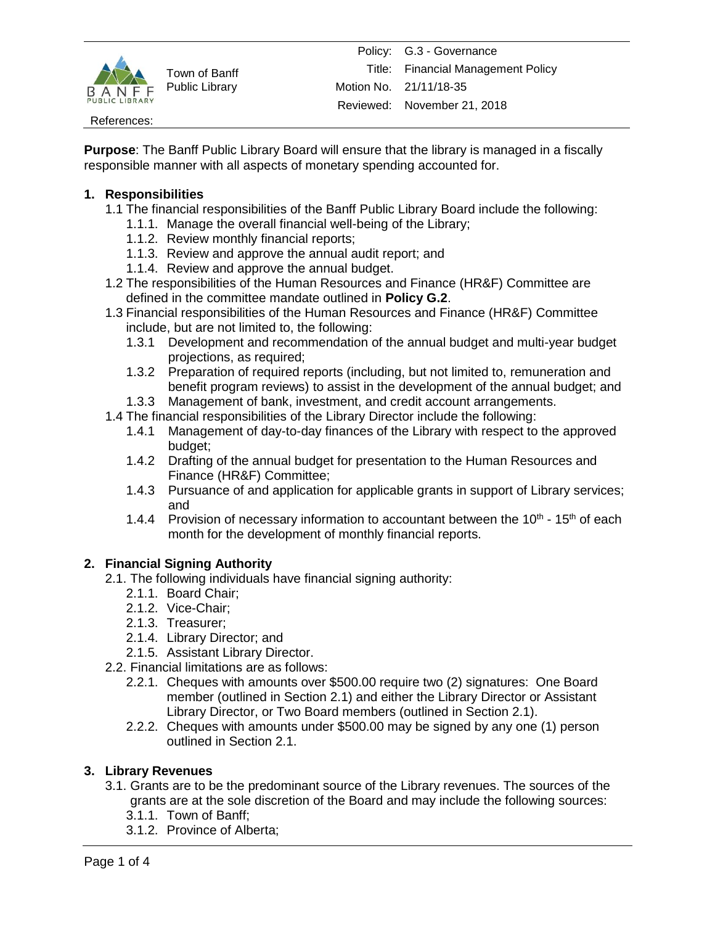

#### References:

**Purpose**: The Banff Public Library Board will ensure that the library is managed in a fiscally responsible manner with all aspects of monetary spending accounted for.

### **1. Responsibilities**

- 1.1 The financial responsibilities of the Banff Public Library Board include the following:
	- 1.1.1. Manage the overall financial well-being of the Library;
	- 1.1.2. Review monthly financial reports;
	- 1.1.3. Review and approve the annual audit report; and
	- 1.1.4. Review and approve the annual budget.
- 1.2 The responsibilities of the Human Resources and Finance (HR&F) Committee are defined in the committee mandate outlined in **Policy G.2**.
- 1.3 Financial responsibilities of the Human Resources and Finance (HR&F) Committee include, but are not limited to, the following:
	- 1.3.1 Development and recommendation of the annual budget and multi-year budget projections, as required;
	- 1.3.2 Preparation of required reports (including, but not limited to, remuneration and benefit program reviews) to assist in the development of the annual budget; and
	- 1.3.3 Management of bank, investment, and credit account arrangements.
- 1.4 The financial responsibilities of the Library Director include the following:
	- 1.4.1 Management of day-to-day finances of the Library with respect to the approved budget;
	- 1.4.2 Drafting of the annual budget for presentation to the Human Resources and Finance (HR&F) Committee;
	- 1.4.3 Pursuance of and application for applicable grants in support of Library services; and
	- 1.4.4 Provision of necessary information to accountant between the  $10^{th}$   $15^{th}$  of each month for the development of monthly financial reports.

# **2. Financial Signing Authority**

- 2.1. The following individuals have financial signing authority:
	- 2.1.1. Board Chair;
	- 2.1.2. Vice-Chair;
	- 2.1.3. Treasurer;
	- 2.1.4. Library Director; and
	- 2.1.5. Assistant Library Director.
- 2.2. Financial limitations are as follows:
	- 2.2.1. Cheques with amounts over \$500.00 require two (2) signatures: One Board member (outlined in Section 2.1) and either the Library Director or Assistant Library Director, or Two Board members (outlined in Section 2.1).
	- 2.2.2. Cheques with amounts under \$500.00 may be signed by any one (1) person outlined in Section 2.1.

# **3. Library Revenues**

- 3.1. Grants are to be the predominant source of the Library revenues. The sources of the grants are at the sole discretion of the Board and may include the following sources:
	- 3.1.1. Town of Banff;
	- 3.1.2. Province of Alberta;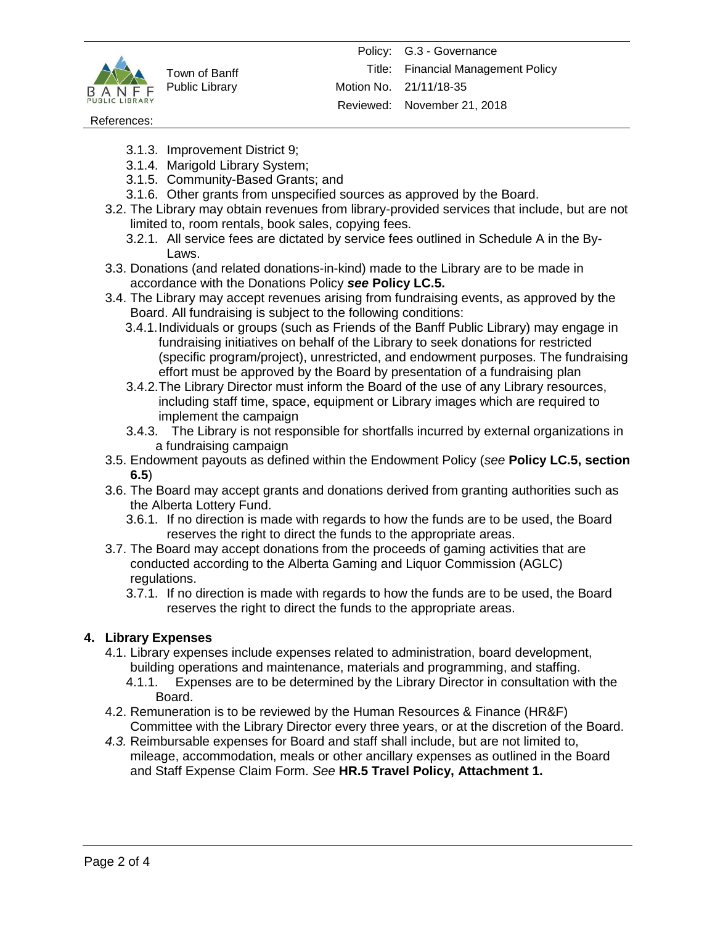

#### References:

- 3.1.3. Improvement District 9;
- 3.1.4. Marigold Library System;
- 3.1.5. Community-Based Grants; and
- 3.1.6. Other grants from unspecified sources as approved by the Board.
- 3.2. The Library may obtain revenues from library-provided services that include, but are not limited to, room rentals, book sales, copying fees.
	- 3.2.1. All service fees are dictated by service fees outlined in Schedule A in the By-Laws.
- 3.3. Donations (and related donations-in-kind) made to the Library are to be made in accordance with the Donations Policy *see* **Policy LC.5.**
- 3.4. The Library may accept revenues arising from fundraising events, as approved by the Board. All fundraising is subject to the following conditions:
	- 3.4.1.Individuals or groups (such as Friends of the Banff Public Library) may engage in fundraising initiatives on behalf of the Library to seek donations for restricted (specific program/project), unrestricted, and endowment purposes. The fundraising effort must be approved by the Board by presentation of a fundraising plan
	- 3.4.2.The Library Director must inform the Board of the use of any Library resources, including staff time, space, equipment or Library images which are required to implement the campaign
	- 3.4.3. The Library is not responsible for shortfalls incurred by external organizations in a fundraising campaign
- 3.5. Endowment payouts as defined within the Endowment Policy (*see* **Policy LC.5, section 6.5**)
- 3.6. The Board may accept grants and donations derived from granting authorities such as the Alberta Lottery Fund.
	- 3.6.1. If no direction is made with regards to how the funds are to be used, the Board reserves the right to direct the funds to the appropriate areas.
- 3.7. The Board may accept donations from the proceeds of gaming activities that are conducted according to the Alberta Gaming and Liquor Commission (AGLC) regulations.
	- 3.7.1. If no direction is made with regards to how the funds are to be used, the Board reserves the right to direct the funds to the appropriate areas.

#### **4. Library Expenses**

- 4.1. Library expenses include expenses related to administration, board development, building operations and maintenance, materials and programming, and staffing.
	- 4.1.1.Expenses are to be determined by the Library Director in consultation with the Board.
- 4.2. Remuneration is to be reviewed by the Human Resources & Finance (HR&F) Committee with the Library Director every three years, or at the discretion of the Board.
- *4.3.* Reimbursable expenses for Board and staff shall include, but are not limited to, mileage, accommodation, meals or other ancillary expenses as outlined in the Board and Staff Expense Claim Form. *See* **HR.5 Travel Policy, Attachment 1.**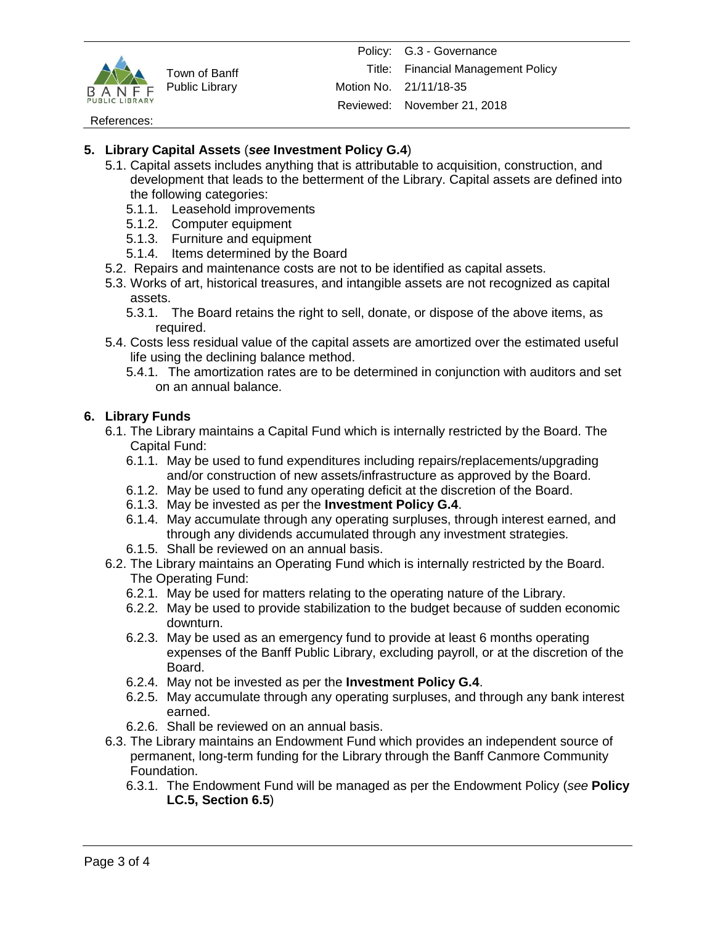

References:

# **5. Library Capital Assets** (*see* **Investment Policy G.4**)

- 5.1. Capital assets includes anything that is attributable to acquisition, construction, and development that leads to the betterment of the Library. Capital assets are defined into the following categories:
	- 5.1.1. Leasehold improvements
	- 5.1.2. Computer equipment
	- 5.1.3. Furniture and equipment
	- 5.1.4. Items determined by the Board
- 5.2. Repairs and maintenance costs are not to be identified as capital assets.
- 5.3. Works of art, historical treasures, and intangible assets are not recognized as capital assets.
	- 5.3.1. The Board retains the right to sell, donate, or dispose of the above items, as required.
- 5.4. Costs less residual value of the capital assets are amortized over the estimated useful life using the declining balance method.
	- 5.4.1. The amortization rates are to be determined in conjunction with auditors and set on an annual balance.

# **6. Library Funds**

- 6.1. The Library maintains a Capital Fund which is internally restricted by the Board. The Capital Fund:
	- 6.1.1. May be used to fund expenditures including repairs/replacements/upgrading and/or construction of new assets/infrastructure as approved by the Board.
	- 6.1.2. May be used to fund any operating deficit at the discretion of the Board.
	- 6.1.3. May be invested as per the **Investment Policy G.4**.
	- 6.1.4. May accumulate through any operating surpluses, through interest earned, and through any dividends accumulated through any investment strategies.
	- 6.1.5. Shall be reviewed on an annual basis.
- 6.2. The Library maintains an Operating Fund which is internally restricted by the Board. The Operating Fund:
	- 6.2.1. May be used for matters relating to the operating nature of the Library.
	- 6.2.2. May be used to provide stabilization to the budget because of sudden economic downturn.
	- 6.2.3. May be used as an emergency fund to provide at least 6 months operating expenses of the Banff Public Library, excluding payroll, or at the discretion of the Board.
	- 6.2.4. May not be invested as per the **Investment Policy G.4**.
	- 6.2.5. May accumulate through any operating surpluses, and through any bank interest earned.
	- 6.2.6. Shall be reviewed on an annual basis.
- 6.3. The Library maintains an Endowment Fund which provides an independent source of permanent, long-term funding for the Library through the Banff Canmore Community Foundation.
	- 6.3.1. The Endowment Fund will be managed as per the Endowment Policy (*see* **Policy LC.5, Section 6.5**)